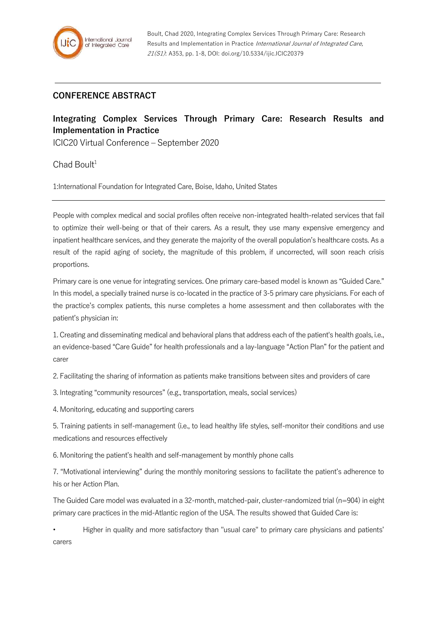## **CONFERENCE ABSTRACT**

## **Integrating Complex Services Through Primary Care: Research Results and Implementation in Practice**

ICIC20 Virtual Conference – September 2020

 $Chad$  Boult<sup>1</sup>

1:International Foundation for Integrated Care, Boise, Idaho, United States

People with complex medical and social profiles often receive non-integrated health-related services that fail to optimize their well-being or that of their carers. As a result, they use many expensive emergency and inpatient healthcare services, and they generate the majority of the overall population's healthcare costs. As a result of the rapid aging of society, the magnitude of this problem, if uncorrected, will soon reach crisis proportions.

Primary care is one venue for integrating services. One primary care-based model is known as "Guided Care." In this model, a specially trained nurse is co-located in the practice of 3-5 primary care physicians. For each of the practice's complex patients, this nurse completes a home assessment and then collaborates with the patient's physician in:

1. Creating and disseminating medical and behavioral plans that address each of the patient's health goals, i.e., an evidence-based "Care Guide" for health professionals and a lay-language "Action Plan" for the patient and carer

2. Facilitating the sharing of information as patients make transitions between sites and providers of care

3. Integrating "community resources" (e.g., transportation, meals, social services)

4. Monitoring, educating and supporting carers

5. Training patients in self-management (i.e., to lead healthy life styles, self-monitor their conditions and use medications and resources effectively

6. Monitoring the patient's health and self-management by monthly phone calls

7. "Motivational interviewing" during the monthly monitoring sessions to facilitate the patient's adherence to his or her Action Plan.

The Guided Care model was evaluated in a 32-month, matched-pair, cluster-randomized trial (n=904) in eight primary care practices in the mid-Atlantic region of the USA. The results showed that Guided Care is:

• Higher in quality and more satisfactory than "usual care" to primary care physicians and patients' carers